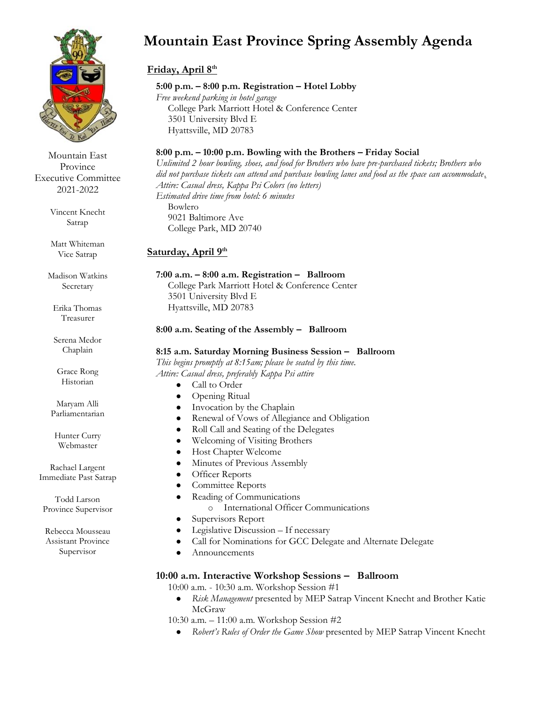

Mountain East Province Executive Committee 2021-2022

> Vincent Knecht Satrap

Matt Whiteman Vice Satrap

Madison Watkins Secretary

Erika Thomas Treasurer

Serena Medor Chaplain

Grace Rong Historian

Maryam Alli Parliamentarian

Hunter Curry Webmaster

Rachael Largent Immediate Past Satrap

Todd Larson Province Supervisor

Rebecca Mousseau Assistant Province Supervisor

# **Mountain East Province Spring Assembly Agenda**

## **Friday, April 8th**

## **5:00 p.m. – 8:00 p.m. Registration – Hotel Lobby**

*Free weekend parking in hotel garage* College Park Marriott Hotel & Conference Center 3501 University Blvd E Hyattsville, MD 20783

## **8:00 p.m. – 10:00 p.m. Bowling with the Brothers – Friday Social**

*Unlimited 2 hour bowling, shoes, and food for Brothers who have pre-purchased tickets; Brothers who did not purchase tickets can attend and purchase bowling lanes and food as the space can accommodate. Attire: Casual dress, Kappa Psi Colors (no letters) Estimated drive time from hotel: 6 minutes* Bowlero 9021 Baltimore Ave College Park, MD 20740

## **Saturday, April 9th**

#### **7:00 a.m. – 8:00 a.m. Registration – Ballroom**

College Park Marriott Hotel & Conference Center 3501 University Blvd E Hyattsville, MD 20783

## **8:00 a.m. Seating of the Assembly – Ballroom**

#### **8:15 a.m. Saturday Morning Business Session – Ballroom**

*This begins promptly at 8:15am; please be seated by this time. Attire: Casual dress, preferably Kappa Psi attire* 

- Call to Order
- Opening Ritual
- Invocation by the Chaplain
- Renewal of Vows of Allegiance and Obligation
- Roll Call and Seating of the Delegates
- Welcoming of Visiting Brothers
- **Host Chapter Welcome**
- Minutes of Previous Assembly
- Officer Reports
- Committee Reports
- Reading of Communications
	- o International Officer Communications
- Supervisors Report
- Legislative Discussion If necessary
- Call for Nominations for GCC Delegate and Alternate Delegate
- Announcements

## **10:00 a.m. Interactive Workshop Sessions – Ballroom**

10:00 a.m. - 10:30 a.m. Workshop Session #1

Risk Management presented by MEP Satrap Vincent Knecht and Brother Katie McGraw

10:30 a.m. – 11:00 a.m. Workshop Session #2

● *Robert's Rules of Order the Game Show* presented by MEP Satrap Vincent Knecht